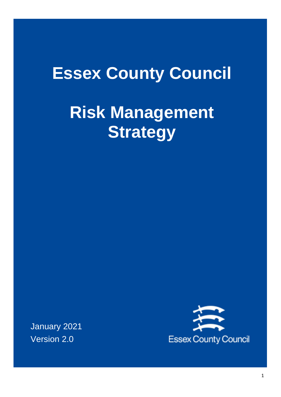# **Essex County Council**

# **Risk Management Strategy**

January 2021 Version 2.0

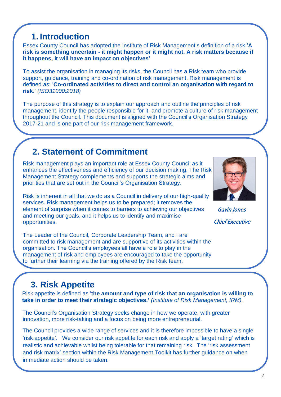# **1. Introduction**

Essex County Council has adopted the Institute of Risk Management's definition of a risk '**A risk is something uncertain - it might happen or it might not. A risk matters because if it happens, it will have an impact on objectives'**

To assist the organisation in managing its risks, the Council has a Risk team who provide support, guidance, training and co-ordination of risk management. Risk management is defined as: '**Co-ordinated activities to direct and control an organisation with regard to risk**.' *(ISO31000:2018)*

The purpose of this strategy is to explain our approach and outline the principles of risk management, identify the people responsible for it, and promote a culture of risk management throughout the Council. This document is aligned with the Council's Organisation Strategy 2017-21 and is one part of our risk management framework.

### **2. Statement of Commitment**

Risk management plays an important role at Essex County Council as it enhances the effectiveness and efficiency of our decision making. The Risk Management Strategy complements and supports the strategic aims and priorities that are set out in the Council's Organisation Strategy.

Risk is inherent in all that we do as a Council in delivery of our high-quality services. Risk management helps us to be prepared; it removes the element of surprise when it comes to barriers to achieving our objectives and meeting our goals, and it helps us to identify and maximise opportunities.

The Leader of the Council, Corporate Leadership Team, and I are committed to risk management and are supportive of its activities within the organisation. The Council's employees all have a role to play in the management of risk and employees are encouraged to take the opportunity to further their learning via the training offered by the Risk team.

# **3. Risk Appetite**

Risk appetite is defined as '**the amount and type of risk that an organisation is willing to take in order to meet their strategic objectives.'** *(Institute of Risk Management, IRM).*

The Council's Organisation Strategy seeks change in how we operate, with greater innovation, more risk-taking and a focus on being more entrepreneurial.

The Council provides a wide range of services and it is therefore impossible to have a single 'risk appetite'. We consider our risk appetite for each risk and apply a 'target rating' which is realistic and achievable whilst being tolerable for that remaining risk. The 'risk assessment and risk matrix' section within the Risk Management Toolkit has further guidance on when immediate action should be taken.

 Gavin Jones Chief Executive

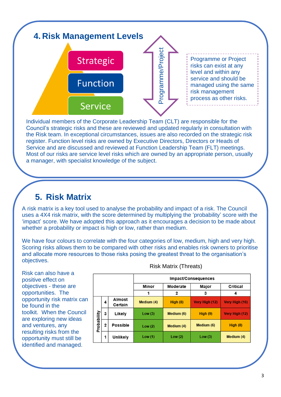

Individual members of the Corporate Leadership Team (CLT) are responsible for the Council's strategic risks and these are reviewed and updated regularly in consultation with the Risk team. In exceptional circumstances, issues are also recorded on the strategic risk register. Function level risks are owned by Executive Directors, Directors or Heads of Service and are discussed and reviewed at Function Leadership Team (FLT) meetings. Most of our risks are service level risks which are owned by an appropriate person, usually a manager, with specialist knowledge of the subject.

#### **5. Risk Matrix**

A risk matrix is a key tool used to analyse the probability and impact of a risk. The Council uses a 4X4 risk matrix, with the score determined by multiplying the 'probability' score with the 'impact' score. We have adopted this approach as it encourages a decision to be made about whether a probability or impact is high or low, rather than medium.

We have four colours to correlate with the four categories of low, medium, high and very high. Scoring risks allows them to be compared with other risks and enables risk owners to prioritise and allocate more resources to those risks posing the greatest threat to the organisation's objectives.

Risk can also have a positive effect on objectives - these are opportunities. The opportunity risk matrix can be found in the toolkit. When the Council are exploring new ideas and ventures, any resulting risks from the opportunity must still be identified and managed.

|             |             |                          |            |            | Impact/Consequences |                |
|-------------|-------------|--------------------------|------------|------------|---------------------|----------------|
|             |             |                          | Minor      | Moderate   | Major               | Critical       |
|             |             |                          | 1          | 2          | 3                   |                |
| Probability | 4           | <b>Almost</b><br>Certain | Medium (4) | High(8)    | Very High (12)      | Very High (16) |
|             | 3           | Likely                   | Low(3)     | Medium (6) | High $(9)$          | Very High (12) |
|             | $\mathbf 2$ | <b>Possible</b>          | Low(2)     | Medium (4) | Medium (6)          | High $(8)$     |
|             | 1           | <b>Unlikely</b>          | Low(1)     | Low(2)     | Low(3)              | Medium (4)     |

Risk Matrix (Threats)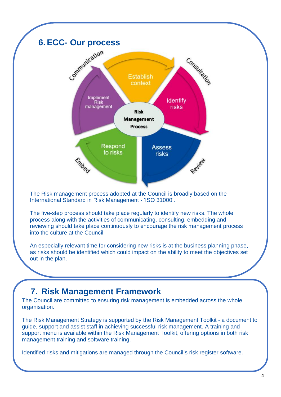

The Risk management process adopted at the Council is broadly based on the International Standard in Risk Management - 'ISO 31000'.

The five-step process should take place regularly to identify new risks. The whole process along with the activities of communicating, consulting, embedding and reviewing should take place continuously to encourage the risk management process into the culture at the Council.

An especially relevant time for considering new risks is at the business planning phase, as risks should be identified which could impact on the ability to meet the objectives set out in the plan.

#### **7. Risk Management Framework**

The Council are committed to ensuring risk management is embedded across the whole organisation.

The Risk Management Strategy is supported by the Risk Management Toolkit - a document to guide, support and assist staff in achieving successful risk management. A training and support menu is available within the Risk Management Toolkit, offering options in both risk management training and software training.

Identified risks and mitigations are managed through the Council's risk register software.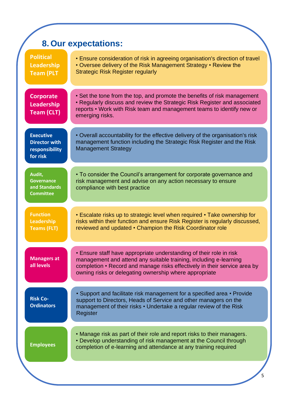|                                                                        | <b>8. Our expectations:</b>                                                                                                                                                                                                                                                     |  |  |
|------------------------------------------------------------------------|---------------------------------------------------------------------------------------------------------------------------------------------------------------------------------------------------------------------------------------------------------------------------------|--|--|
| <b>Political</b><br><b>Leadership</b><br><b>Team (PLT</b>              | • Ensure consideration of risk in agreeing organisation's direction of travel<br>• Oversee delivery of the Risk Management Strategy • Review the<br><b>Strategic Risk Register regularly</b>                                                                                    |  |  |
| <b>Corporate</b><br>Leadership<br><b>Team (CLT)</b>                    | • Set the tone from the top, and promote the benefits of risk management<br>• Regularly discuss and review the Strategic Risk Register and associated<br>reports • Work with Risk team and management teams to identify new or<br>emerging risks.                               |  |  |
| <b>Executive</b><br><b>Director with</b><br>responsibility<br>for risk | • Overall accountability for the effective delivery of the organisation's risk<br>management function including the Strategic Risk Register and the Risk<br><b>Management Strategy</b>                                                                                          |  |  |
| Audit,<br>Governance<br>and Standards<br><b>Committee</b>              | • To consider the Council's arrangement for corporate governance and<br>risk management and advise on any action necessary to ensure<br>compliance with best practice                                                                                                           |  |  |
| <b>Function</b><br>Leadership<br><b>Teams (FLT)</b>                    | • Escalate risks up to strategic level when required • Take ownership for<br>risks within their function and ensure Risk Register is regularly discussed,<br>reviewed and updated • Champion the Risk Coordinator role                                                          |  |  |
| <b>Managers at</b><br>all levels                                       | • Ensure staff have appropriate understanding of their role in risk<br>management and attend any suitable training, including e-learning<br>completion • Record and manage risks effectively in their service area by<br>owning risks or delegating ownership where appropriate |  |  |
| <b>Risk Co-</b><br><b>Ordinators</b>                                   | • Support and facilitate risk management for a specified area • Provide<br>support to Directors, Heads of Service and other managers on the<br>management of their risks • Undertake a regular review of the Risk<br>Register                                                   |  |  |
| <b>Employees</b>                                                       | • Manage risk as part of their role and report risks to their managers.<br>• Develop understanding of risk management at the Council through<br>completion of e-learning and attendance at any training required                                                                |  |  |
|                                                                        |                                                                                                                                                                                                                                                                                 |  |  |